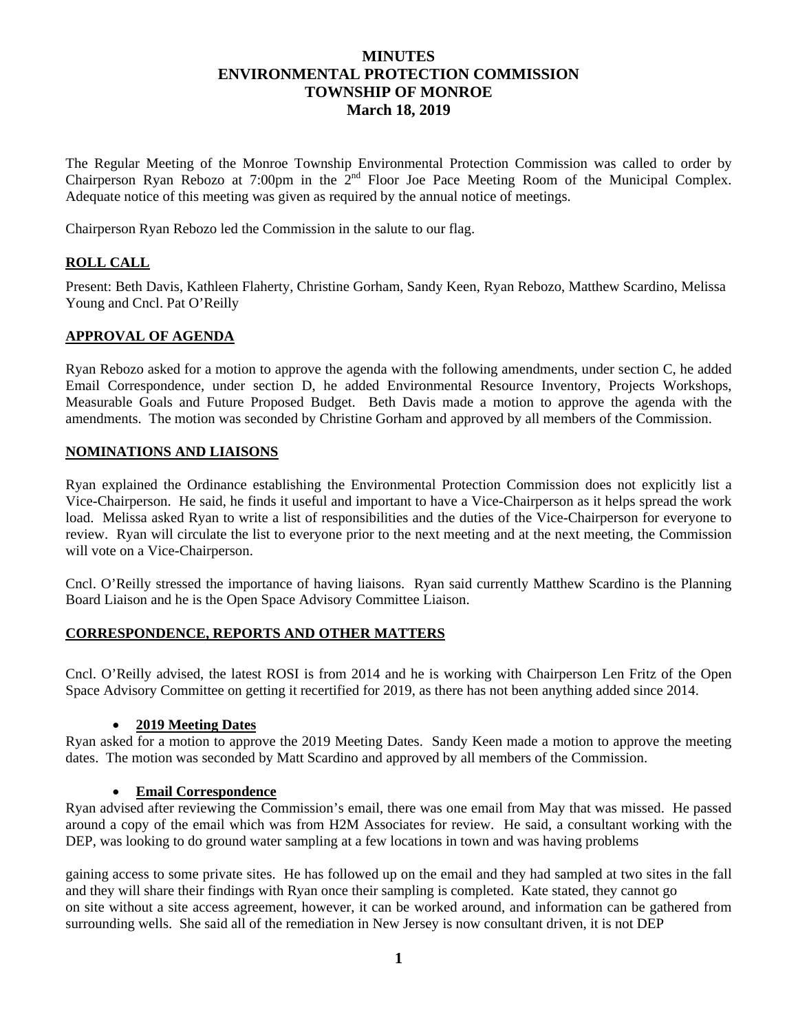# **MINUTES ENVIRONMENTAL PROTECTION COMMISSION TOWNSHIP OF MONROE March 18, 2019**

The Regular Meeting of the Monroe Township Environmental Protection Commission was called to order by Chairperson Ryan Rebozo at 7:00pm in the 2<sup>nd</sup> Floor Joe Pace Meeting Room of the Municipal Complex. Adequate notice of this meeting was given as required by the annual notice of meetings.

Chairperson Ryan Rebozo led the Commission in the salute to our flag.

# **ROLL CALL**

Present: Beth Davis, Kathleen Flaherty, Christine Gorham, Sandy Keen, Ryan Rebozo, Matthew Scardino, Melissa Young and Cncl. Pat O'Reilly

### **APPROVAL OF AGENDA**

Ryan Rebozo asked for a motion to approve the agenda with the following amendments, under section C, he added Email Correspondence, under section D, he added Environmental Resource Inventory, Projects Workshops, Measurable Goals and Future Proposed Budget. Beth Davis made a motion to approve the agenda with the amendments. The motion was seconded by Christine Gorham and approved by all members of the Commission.

### **NOMINATIONS AND LIAISONS**

Ryan explained the Ordinance establishing the Environmental Protection Commission does not explicitly list a Vice-Chairperson. He said, he finds it useful and important to have a Vice-Chairperson as it helps spread the work load. Melissa asked Ryan to write a list of responsibilities and the duties of the Vice-Chairperson for everyone to review. Ryan will circulate the list to everyone prior to the next meeting and at the next meeting, the Commission will vote on a Vice-Chairperson.

Cncl. O'Reilly stressed the importance of having liaisons. Ryan said currently Matthew Scardino is the Planning Board Liaison and he is the Open Space Advisory Committee Liaison.

### **CORRESPONDENCE, REPORTS AND OTHER MATTERS**

Cncl. O'Reilly advised, the latest ROSI is from 2014 and he is working with Chairperson Len Fritz of the Open Space Advisory Committee on getting it recertified for 2019, as there has not been anything added since 2014.

#### **2019 Meeting Dates**

Ryan asked for a motion to approve the 2019 Meeting Dates. Sandy Keen made a motion to approve the meeting dates. The motion was seconded by Matt Scardino and approved by all members of the Commission.

### **Email Correspondence**

Ryan advised after reviewing the Commission's email, there was one email from May that was missed. He passed around a copy of the email which was from H2M Associates for review. He said, a consultant working with the DEP, was looking to do ground water sampling at a few locations in town and was having problems

gaining access to some private sites. He has followed up on the email and they had sampled at two sites in the fall and they will share their findings with Ryan once their sampling is completed. Kate stated, they cannot go on site without a site access agreement, however, it can be worked around, and information can be gathered from surrounding wells. She said all of the remediation in New Jersey is now consultant driven, it is not DEP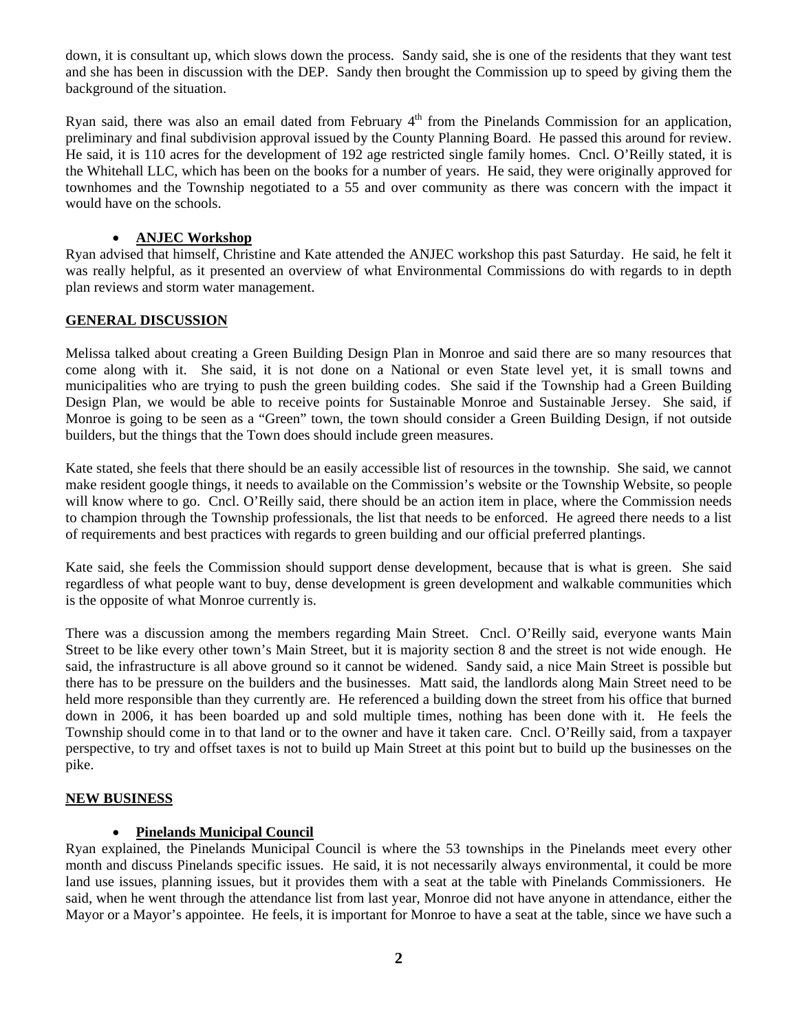down, it is consultant up, which slows down the process. Sandy said, she is one of the residents that they want test and she has been in discussion with the DEP. Sandy then brought the Commission up to speed by giving them the background of the situation.

Ryan said, there was also an email dated from February  $4<sup>th</sup>$  from the Pinelands Commission for an application, preliminary and final subdivision approval issued by the County Planning Board. He passed this around for review. He said, it is 110 acres for the development of 192 age restricted single family homes. Cncl. O'Reilly stated, it is the Whitehall LLC, which has been on the books for a number of years. He said, they were originally approved for townhomes and the Township negotiated to a 55 and over community as there was concern with the impact it would have on the schools.

# **ANJEC Workshop**

Ryan advised that himself, Christine and Kate attended the ANJEC workshop this past Saturday. He said, he felt it was really helpful, as it presented an overview of what Environmental Commissions do with regards to in depth plan reviews and storm water management.

# **GENERAL DISCUSSION**

Melissa talked about creating a Green Building Design Plan in Monroe and said there are so many resources that come along with it. She said, it is not done on a National or even State level yet, it is small towns and municipalities who are trying to push the green building codes. She said if the Township had a Green Building Design Plan, we would be able to receive points for Sustainable Monroe and Sustainable Jersey. She said, if Monroe is going to be seen as a "Green" town, the town should consider a Green Building Design, if not outside builders, but the things that the Town does should include green measures.

Kate stated, she feels that there should be an easily accessible list of resources in the township. She said, we cannot make resident google things, it needs to available on the Commission's website or the Township Website, so people will know where to go. Cncl. O'Reilly said, there should be an action item in place, where the Commission needs to champion through the Township professionals, the list that needs to be enforced. He agreed there needs to a list of requirements and best practices with regards to green building and our official preferred plantings.

Kate said, she feels the Commission should support dense development, because that is what is green. She said regardless of what people want to buy, dense development is green development and walkable communities which is the opposite of what Monroe currently is.

There was a discussion among the members regarding Main Street. Cncl. O'Reilly said, everyone wants Main Street to be like every other town's Main Street, but it is majority section 8 and the street is not wide enough. He said, the infrastructure is all above ground so it cannot be widened. Sandy said, a nice Main Street is possible but there has to be pressure on the builders and the businesses. Matt said, the landlords along Main Street need to be held more responsible than they currently are. He referenced a building down the street from his office that burned down in 2006, it has been boarded up and sold multiple times, nothing has been done with it. He feels the Township should come in to that land or to the owner and have it taken care. Cncl. O'Reilly said, from a taxpayer perspective, to try and offset taxes is not to build up Main Street at this point but to build up the businesses on the pike.

### **NEW BUSINESS**

### **Pinelands Municipal Council**

Ryan explained, the Pinelands Municipal Council is where the 53 townships in the Pinelands meet every other month and discuss Pinelands specific issues. He said, it is not necessarily always environmental, it could be more land use issues, planning issues, but it provides them with a seat at the table with Pinelands Commissioners. He said, when he went through the attendance list from last year, Monroe did not have anyone in attendance, either the Mayor or a Mayor's appointee. He feels, it is important for Monroe to have a seat at the table, since we have such a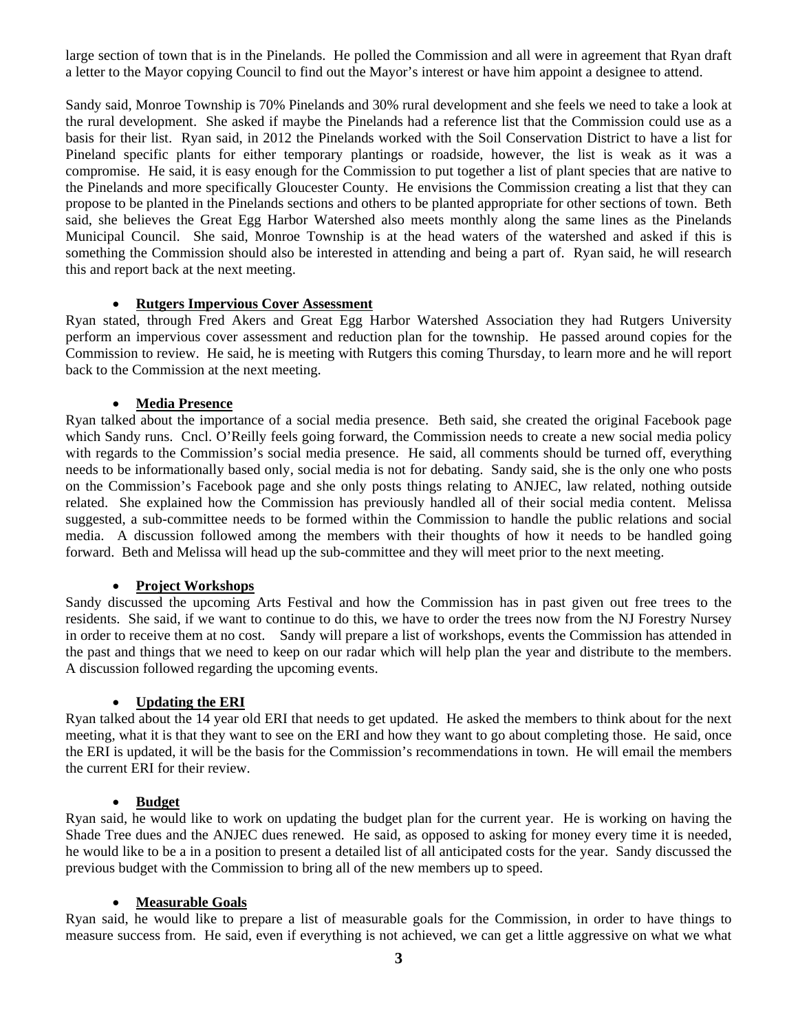large section of town that is in the Pinelands. He polled the Commission and all were in agreement that Ryan draft a letter to the Mayor copying Council to find out the Mayor's interest or have him appoint a designee to attend.

Sandy said, Monroe Township is 70% Pinelands and 30% rural development and she feels we need to take a look at the rural development. She asked if maybe the Pinelands had a reference list that the Commission could use as a basis for their list. Ryan said, in 2012 the Pinelands worked with the Soil Conservation District to have a list for Pineland specific plants for either temporary plantings or roadside, however, the list is weak as it was a compromise. He said, it is easy enough for the Commission to put together a list of plant species that are native to the Pinelands and more specifically Gloucester County. He envisions the Commission creating a list that they can propose to be planted in the Pinelands sections and others to be planted appropriate for other sections of town. Beth said, she believes the Great Egg Harbor Watershed also meets monthly along the same lines as the Pinelands Municipal Council. She said, Monroe Township is at the head waters of the watershed and asked if this is something the Commission should also be interested in attending and being a part of. Ryan said, he will research this and report back at the next meeting.

#### **Rutgers Impervious Cover Assessment**

Ryan stated, through Fred Akers and Great Egg Harbor Watershed Association they had Rutgers University perform an impervious cover assessment and reduction plan for the township. He passed around copies for the Commission to review. He said, he is meeting with Rutgers this coming Thursday, to learn more and he will report back to the Commission at the next meeting.

### **Media Presence**

Ryan talked about the importance of a social media presence. Beth said, she created the original Facebook page which Sandy runs. Cncl. O'Reilly feels going forward, the Commission needs to create a new social media policy with regards to the Commission's social media presence. He said, all comments should be turned off, everything needs to be informationally based only, social media is not for debating. Sandy said, she is the only one who posts on the Commission's Facebook page and she only posts things relating to ANJEC, law related, nothing outside related. She explained how the Commission has previously handled all of their social media content. Melissa suggested, a sub-committee needs to be formed within the Commission to handle the public relations and social media. A discussion followed among the members with their thoughts of how it needs to be handled going forward. Beth and Melissa will head up the sub-committee and they will meet prior to the next meeting.

### **Project Workshops**

Sandy discussed the upcoming Arts Festival and how the Commission has in past given out free trees to the residents. She said, if we want to continue to do this, we have to order the trees now from the NJ Forestry Nursey in order to receive them at no cost. Sandy will prepare a list of workshops, events the Commission has attended in the past and things that we need to keep on our radar which will help plan the year and distribute to the members. A discussion followed regarding the upcoming events.

### **Updating the ERI**

Ryan talked about the 14 year old ERI that needs to get updated. He asked the members to think about for the next meeting, what it is that they want to see on the ERI and how they want to go about completing those. He said, once the ERI is updated, it will be the basis for the Commission's recommendations in town. He will email the members the current ERI for their review.

#### **Budget**

Ryan said, he would like to work on updating the budget plan for the current year. He is working on having the Shade Tree dues and the ANJEC dues renewed. He said, as opposed to asking for money every time it is needed, he would like to be a in a position to present a detailed list of all anticipated costs for the year. Sandy discussed the previous budget with the Commission to bring all of the new members up to speed.

## **Measurable Goals**

Ryan said, he would like to prepare a list of measurable goals for the Commission, in order to have things to measure success from. He said, even if everything is not achieved, we can get a little aggressive on what we what